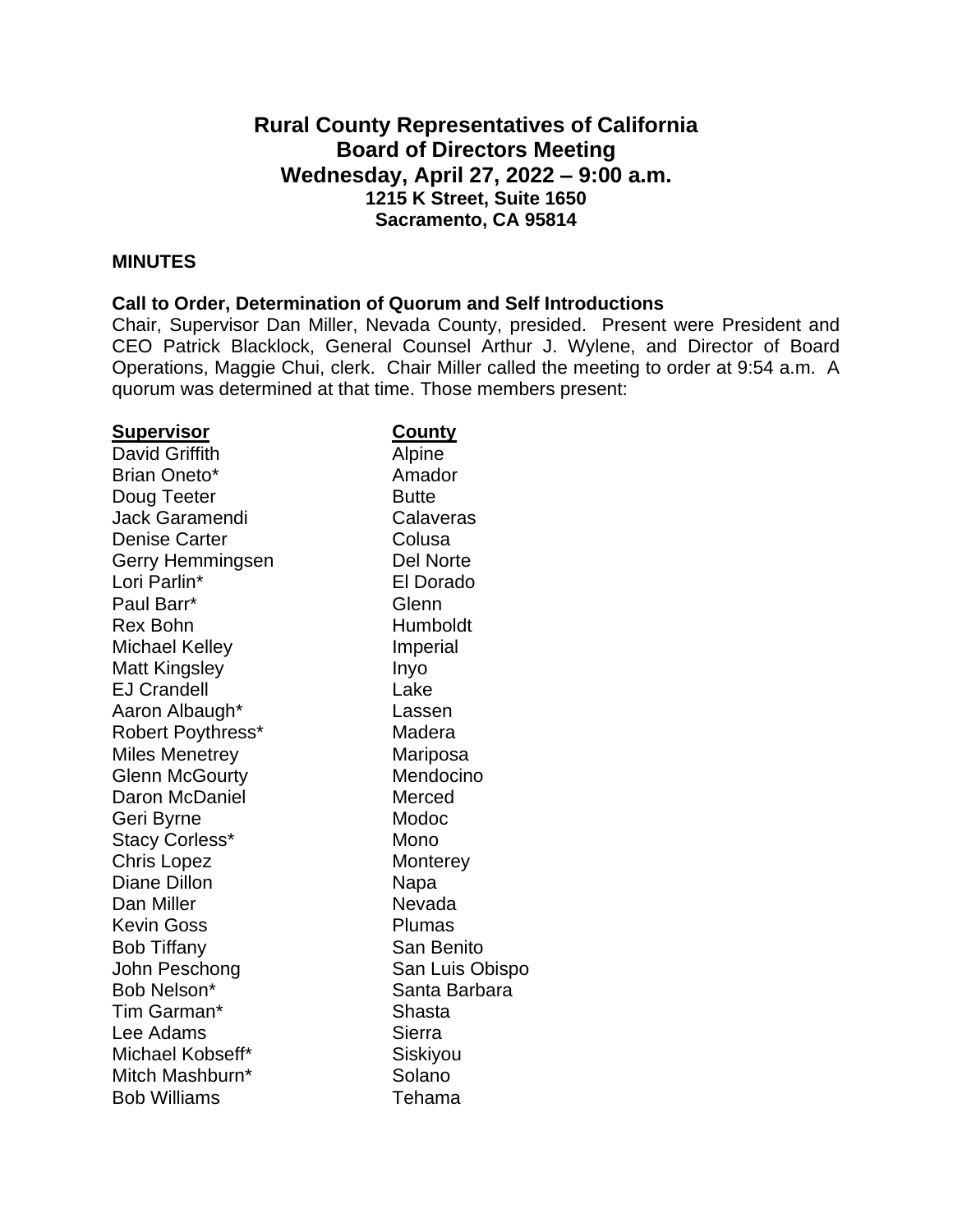# **Rural County Representatives of California Board of Directors Meeting Wednesday, April 27, 2022 – 9:00 a.m. 1215 K Street, Suite 1650 Sacramento, CA 95814**

#### **MINUTES**

#### **Call to Order, Determination of Quorum and Self Introductions**

Chair, Supervisor Dan Miller, Nevada County, presided. Present were President and CEO Patrick Blacklock, General Counsel Arthur J. Wylene, and Director of Board Operations, Maggie Chui, clerk. Chair Miller called the meeting to order at 9:54 a.m. A quorum was determined at that time. Those members present:

| <u>Supervisor</u>        | <b>County</b>    |
|--------------------------|------------------|
| David Griffith           | Alpine           |
| Brian Oneto*             | Amador           |
| Doug Teeter              | <b>Butte</b>     |
| <b>Jack Garamendi</b>    | Calaveras        |
| <b>Denise Carter</b>     | Colusa           |
| Gerry Hemmingsen         | <b>Del Norte</b> |
| Lori Parlin*             | El Dorado        |
| Paul Barr*               | Glenn            |
| <b>Rex Bohn</b>          | Humboldt         |
| <b>Michael Kelley</b>    | Imperial         |
| <b>Matt Kingsley</b>     | Inyo             |
| <b>EJ Crandell</b>       | Lake             |
| Aaron Albaugh*           | Lassen           |
| <b>Robert Poythress*</b> | Madera           |
| <b>Miles Menetrey</b>    | Mariposa         |
| <b>Glenn McGourty</b>    | Mendocino        |
| Daron McDaniel           | Merced           |
| Geri Byrne               | Modoc            |
| <b>Stacy Corless*</b>    | Mono             |
| <b>Chris Lopez</b>       | Monterey         |
| Diane Dillon             | Napa             |
| Dan Miller               | Nevada           |
| <b>Kevin Goss</b>        | Plumas           |
| <b>Bob Tiffany</b>       | San Benito       |
| John Peschong            | San Luis Obispo  |
| Bob Nelson*              | Santa Barbara    |
| Tim Garman*              | Shasta           |
| Lee Adams                | Sierra           |
| Michael Kobseff*         | Siskiyou         |
| Mitch Mashburn*          | Solano           |
| <b>Bob Williams</b>      | Tehama           |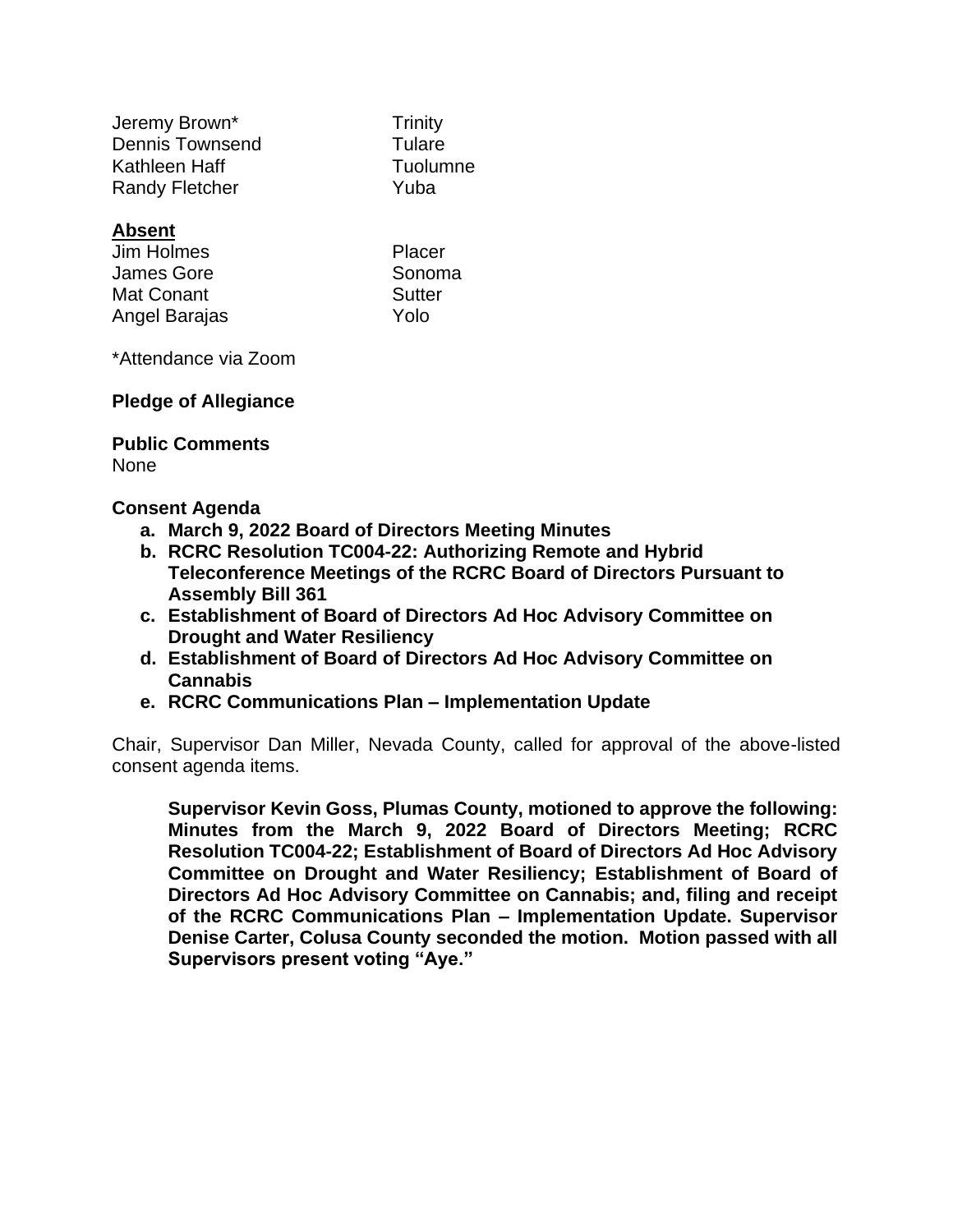| <b>Trinity</b> |
|----------------|
| Tulare         |
| Tuolumne       |
| Yuba           |
|                |

# **Absent**

| Placer |
|--------|
| Sonoma |
| Sutter |
| Yolo   |
|        |

\*Attendance via Zoom

#### **Pledge of Allegiance**

#### **Public Comments** None

### **Consent Agenda**

- **a. March 9, 2022 Board of Directors Meeting Minutes**
- **b. RCRC Resolution TC004-22: Authorizing Remote and Hybrid Teleconference Meetings of the RCRC Board of Directors Pursuant to Assembly Bill 361**
- **c. Establishment of Board of Directors Ad Hoc Advisory Committee on Drought and Water Resiliency**
- **d. Establishment of Board of Directors Ad Hoc Advisory Committee on Cannabis**
- **e. RCRC Communications Plan – Implementation Update**

Chair, Supervisor Dan Miller, Nevada County, called for approval of the above-listed consent agenda items.

**Supervisor Kevin Goss, Plumas County, motioned to approve the following: Minutes from the March 9, 2022 Board of Directors Meeting; RCRC Resolution TC004-22; Establishment of Board of Directors Ad Hoc Advisory Committee on Drought and Water Resiliency; Establishment of Board of Directors Ad Hoc Advisory Committee on Cannabis; and, filing and receipt of the RCRC Communications Plan – Implementation Update. Supervisor Denise Carter, Colusa County seconded the motion. Motion passed with all Supervisors present voting "Aye."**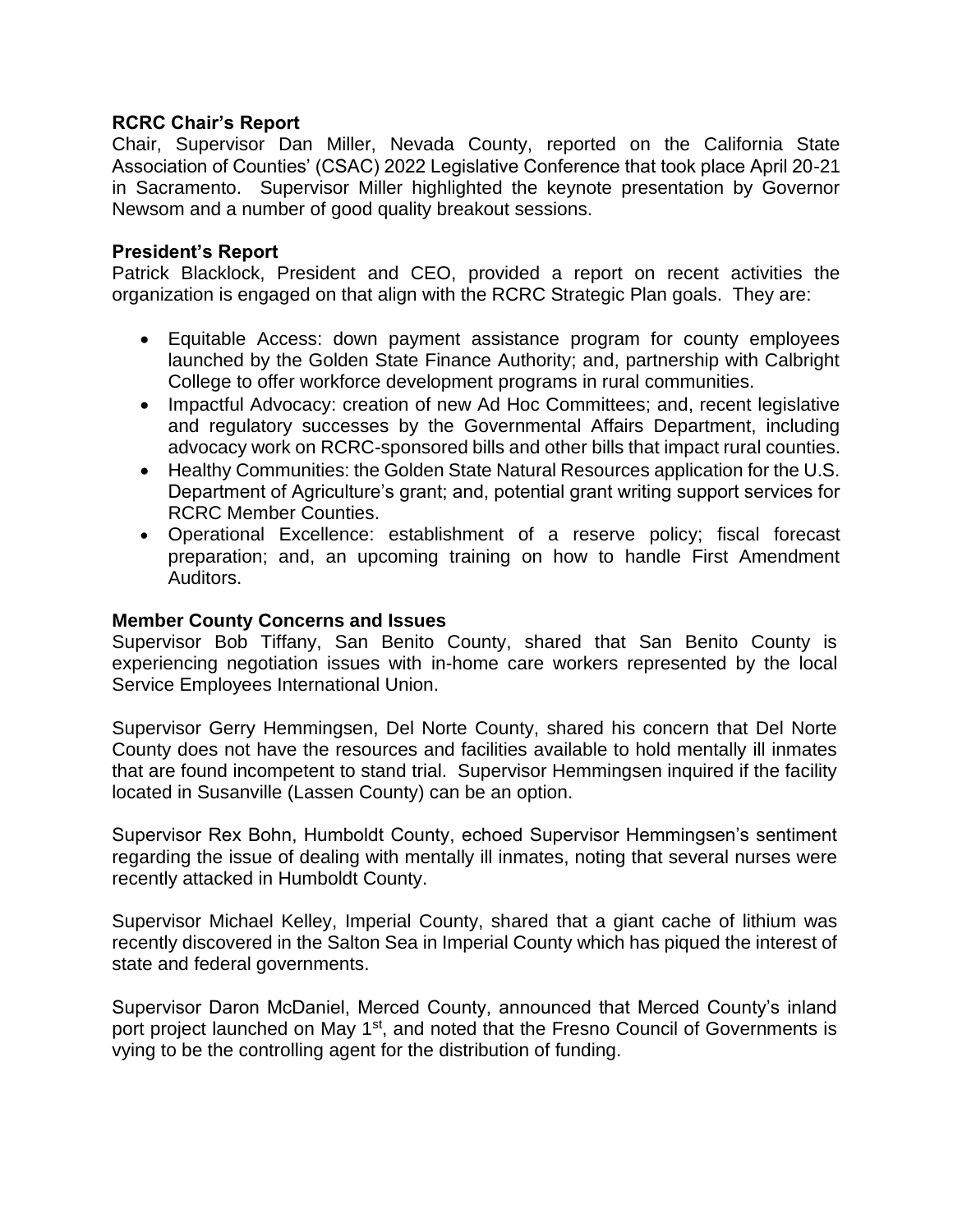# **RCRC Chair's Report**

Chair, Supervisor Dan Miller, Nevada County, reported on the California State Association of Counties' (CSAC) 2022 Legislative Conference that took place April 20-21 in Sacramento. Supervisor Miller highlighted the keynote presentation by Governor Newsom and a number of good quality breakout sessions.

### **President's Report**

Patrick Blacklock, President and CEO, provided a report on recent activities the organization is engaged on that align with the RCRC Strategic Plan goals. They are:

- Equitable Access: down payment assistance program for county employees launched by the Golden State Finance Authority; and, partnership with Calbright College to offer workforce development programs in rural communities.
- Impactful Advocacy: creation of new Ad Hoc Committees; and, recent legislative and regulatory successes by the Governmental Affairs Department, including advocacy work on RCRC-sponsored bills and other bills that impact rural counties.
- Healthy Communities: the Golden State Natural Resources application for the U.S. Department of Agriculture's grant; and, potential grant writing support services for RCRC Member Counties.
- Operational Excellence: establishment of a reserve policy; fiscal forecast preparation; and, an upcoming training on how to handle First Amendment Auditors.

#### **Member County Concerns and Issues**

Supervisor Bob Tiffany, San Benito County, shared that San Benito County is experiencing negotiation issues with in-home care workers represented by the local Service Employees International Union.

Supervisor Gerry Hemmingsen, Del Norte County, shared his concern that Del Norte County does not have the resources and facilities available to hold mentally ill inmates that are found incompetent to stand trial. Supervisor Hemmingsen inquired if the facility located in Susanville (Lassen County) can be an option.

Supervisor Rex Bohn, Humboldt County, echoed Supervisor Hemmingsen's sentiment regarding the issue of dealing with mentally ill inmates, noting that several nurses were recently attacked in Humboldt County.

Supervisor Michael Kelley, Imperial County, shared that a giant cache of lithium was recently discovered in the Salton Sea in Imperial County which has piqued the interest of state and federal governments.

Supervisor Daron McDaniel, Merced County, announced that Merced County's inland port project launched on May 1<sup>st</sup>, and noted that the Fresno Council of Governments is vying to be the controlling agent for the distribution of funding.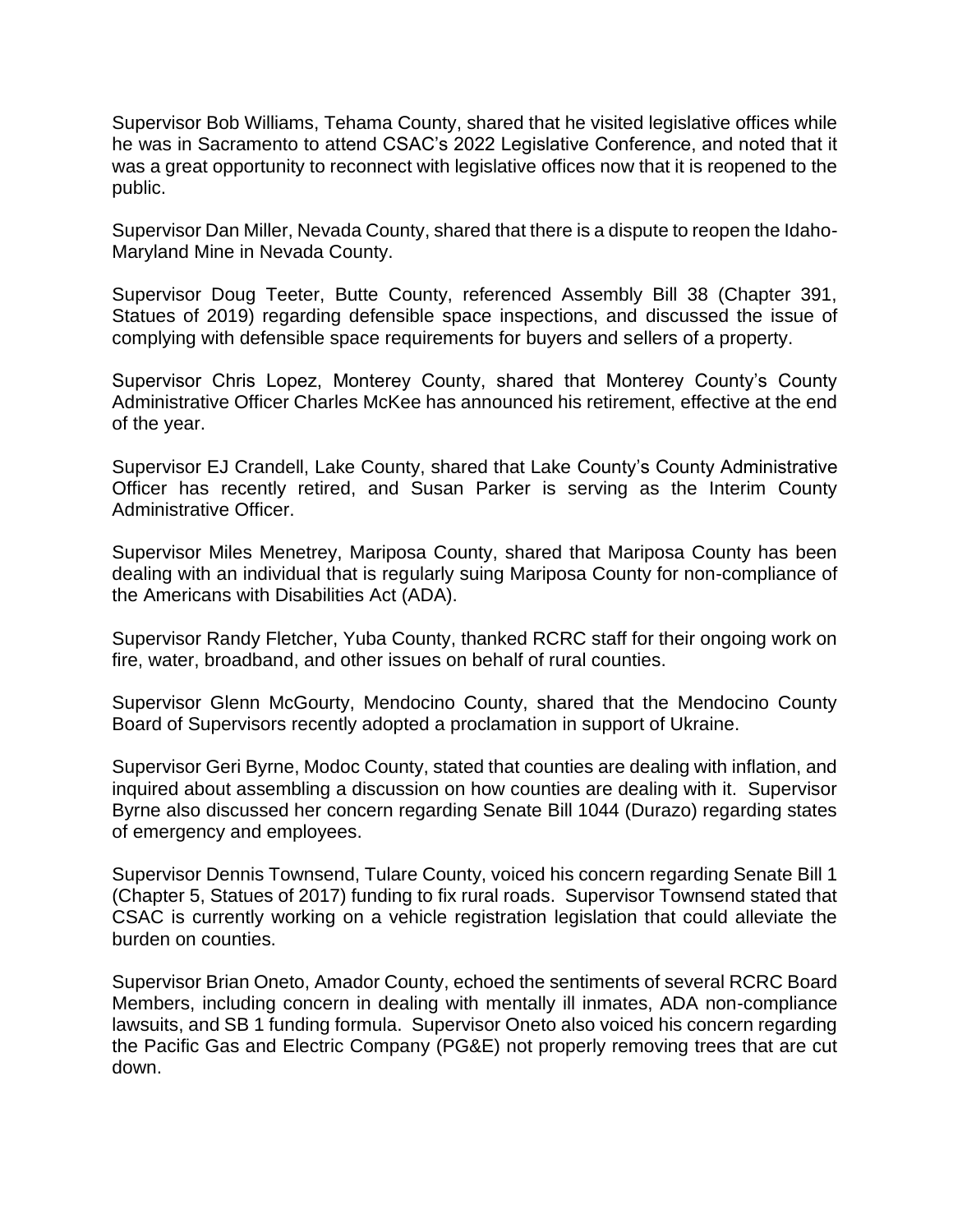Supervisor Bob Williams, Tehama County, shared that he visited legislative offices while he was in Sacramento to attend CSAC's 2022 Legislative Conference, and noted that it was a great opportunity to reconnect with legislative offices now that it is reopened to the public.

Supervisor Dan Miller, Nevada County, shared that there is a dispute to reopen the Idaho-Maryland Mine in Nevada County.

Supervisor Doug Teeter, Butte County, referenced Assembly Bill 38 (Chapter 391, Statues of 2019) regarding defensible space inspections, and discussed the issue of complying with defensible space requirements for buyers and sellers of a property.

Supervisor Chris Lopez, Monterey County, shared that Monterey County's County Administrative Officer Charles McKee has announced his retirement, effective at the end of the year.

Supervisor EJ Crandell, Lake County, shared that Lake County's County Administrative Officer has recently retired, and Susan Parker is serving as the Interim County Administrative Officer.

Supervisor Miles Menetrey, Mariposa County, shared that Mariposa County has been dealing with an individual that is regularly suing Mariposa County for non-compliance of the Americans with Disabilities Act (ADA).

Supervisor Randy Fletcher, Yuba County, thanked RCRC staff for their ongoing work on fire, water, broadband, and other issues on behalf of rural counties.

Supervisor Glenn McGourty, Mendocino County, shared that the Mendocino County Board of Supervisors recently adopted a proclamation in support of Ukraine.

Supervisor Geri Byrne, Modoc County, stated that counties are dealing with inflation, and inquired about assembling a discussion on how counties are dealing with it. Supervisor Byrne also discussed her concern regarding Senate Bill 1044 (Durazo) regarding states of emergency and employees.

Supervisor Dennis Townsend, Tulare County, voiced his concern regarding Senate Bill 1 (Chapter 5, Statues of 2017) funding to fix rural roads. Supervisor Townsend stated that CSAC is currently working on a vehicle registration legislation that could alleviate the burden on counties.

Supervisor Brian Oneto, Amador County, echoed the sentiments of several RCRC Board Members, including concern in dealing with mentally ill inmates, ADA non-compliance lawsuits, and SB 1 funding formula. Supervisor Oneto also voiced his concern regarding the Pacific Gas and Electric Company (PG&E) not properly removing trees that are cut down.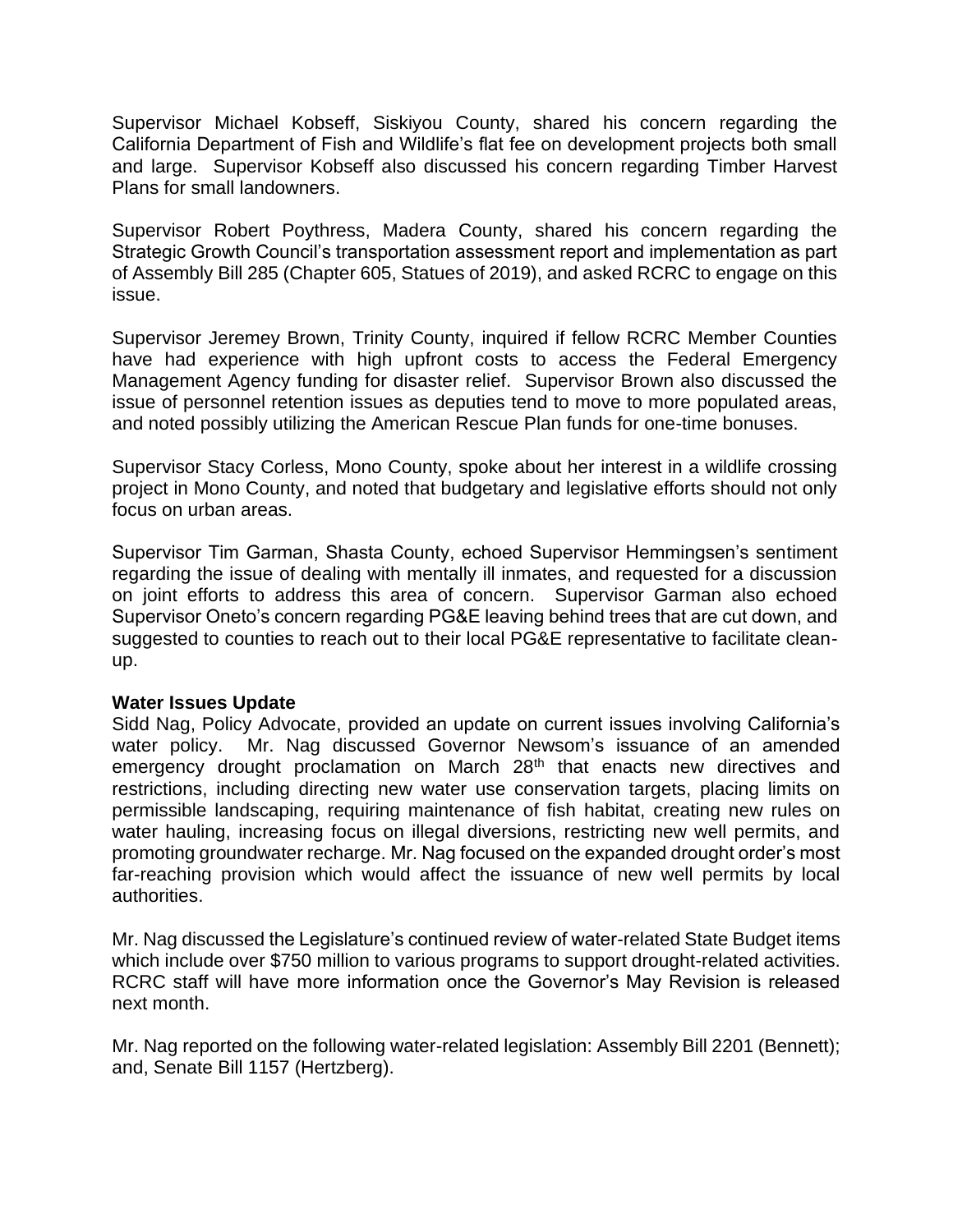Supervisor Michael Kobseff, Siskiyou County, shared his concern regarding the California Department of Fish and Wildlife's flat fee on development projects both small and large. Supervisor Kobseff also discussed his concern regarding Timber Harvest Plans for small landowners.

Supervisor Robert Poythress, Madera County, shared his concern regarding the Strategic Growth Council's transportation assessment report and implementation as part of Assembly Bill 285 (Chapter 605, Statues of 2019), and asked RCRC to engage on this issue.

Supervisor Jeremey Brown, Trinity County, inquired if fellow RCRC Member Counties have had experience with high upfront costs to access the Federal Emergency Management Agency funding for disaster relief. Supervisor Brown also discussed the issue of personnel retention issues as deputies tend to move to more populated areas, and noted possibly utilizing the American Rescue Plan funds for one-time bonuses.

Supervisor Stacy Corless, Mono County, spoke about her interest in a wildlife crossing project in Mono County, and noted that budgetary and legislative efforts should not only focus on urban areas.

Supervisor Tim Garman, Shasta County, echoed Supervisor Hemmingsen's sentiment regarding the issue of dealing with mentally ill inmates, and requested for a discussion on joint efforts to address this area of concern. Supervisor Garman also echoed Supervisor Oneto's concern regarding PG&E leaving behind trees that are cut down, and suggested to counties to reach out to their local PG&E representative to facilitate cleanup.

#### **Water Issues Update**

Sidd Nag, Policy Advocate, provided an update on current issues involving California's water policy. Mr. Nag discussed Governor Newsom's issuance of an amended emergency drought proclamation on March 28<sup>th</sup> that enacts new directives and restrictions, including directing new water use conservation targets, placing limits on permissible landscaping, requiring maintenance of fish habitat, creating new rules on water hauling, increasing focus on illegal diversions, restricting new well permits, and promoting groundwater recharge. Mr. Nag focused on the expanded drought order's most far-reaching provision which would affect the issuance of new well permits by local authorities.

Mr. Nag discussed the Legislature's continued review of water-related State Budget items which include over \$750 million to various programs to support drought-related activities. RCRC staff will have more information once the Governor's May Revision is released next month.

Mr. Nag reported on the following water-related legislation: Assembly Bill 2201 (Bennett); and, Senate Bill 1157 (Hertzberg).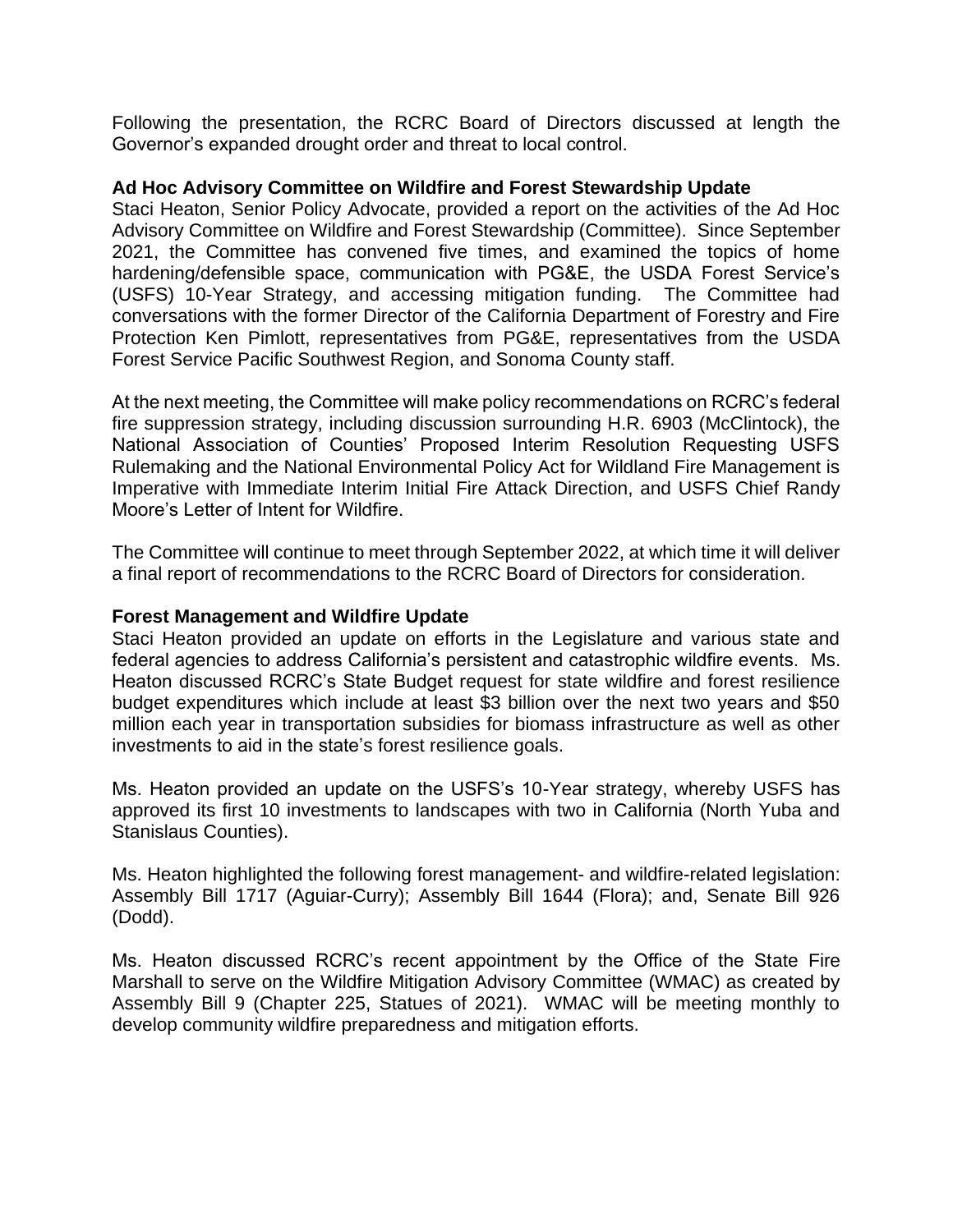Following the presentation, the RCRC Board of Directors discussed at length the Governor's expanded drought order and threat to local control.

### **Ad Hoc Advisory Committee on Wildfire and Forest Stewardship Update**

Staci Heaton, Senior Policy Advocate, provided a report on the activities of the Ad Hoc Advisory Committee on Wildfire and Forest Stewardship (Committee). Since September 2021, the Committee has convened five times, and examined the topics of home hardening/defensible space, communication with PG&E, the USDA Forest Service's (USFS) 10-Year Strategy, and accessing mitigation funding. The Committee had conversations with the former Director of the California Department of Forestry and Fire Protection Ken Pimlott, representatives from PG&E, representatives from the USDA Forest Service Pacific Southwest Region, and Sonoma County staff.

At the next meeting, the Committee will make policy recommendations on RCRC's federal fire suppression strategy, including discussion surrounding H.R. 6903 (McClintock), the National Association of Counties' Proposed Interim Resolution Requesting USFS Rulemaking and the National Environmental Policy Act for Wildland Fire Management is Imperative with Immediate Interim Initial Fire Attack Direction, and USFS Chief Randy Moore's Letter of Intent for Wildfire.

The Committee will continue to meet through September 2022, at which time it will deliver a final report of recommendations to the RCRC Board of Directors for consideration.

#### **Forest Management and Wildfire Update**

Staci Heaton provided an update on efforts in the Legislature and various state and federal agencies to address California's persistent and catastrophic wildfire events. Ms. Heaton discussed RCRC's State Budget request for state wildfire and forest resilience budget expenditures which include at least \$3 billion over the next two years and \$50 million each year in transportation subsidies for biomass infrastructure as well as other investments to aid in the state's forest resilience goals.

Ms. Heaton provided an update on the USFS's 10-Year strategy, whereby USFS has approved its first 10 investments to landscapes with two in California (North Yuba and Stanislaus Counties).

Ms. Heaton highlighted the following forest management- and wildfire-related legislation: Assembly Bill 1717 (Aguiar-Curry); Assembly Bill 1644 (Flora); and, Senate Bill 926 (Dodd).

Ms. Heaton discussed RCRC's recent appointment by the Office of the State Fire Marshall to serve on the Wildfire Mitigation Advisory Committee (WMAC) as created by Assembly Bill 9 (Chapter 225, Statues of 2021). WMAC will be meeting monthly to develop community wildfire preparedness and mitigation efforts.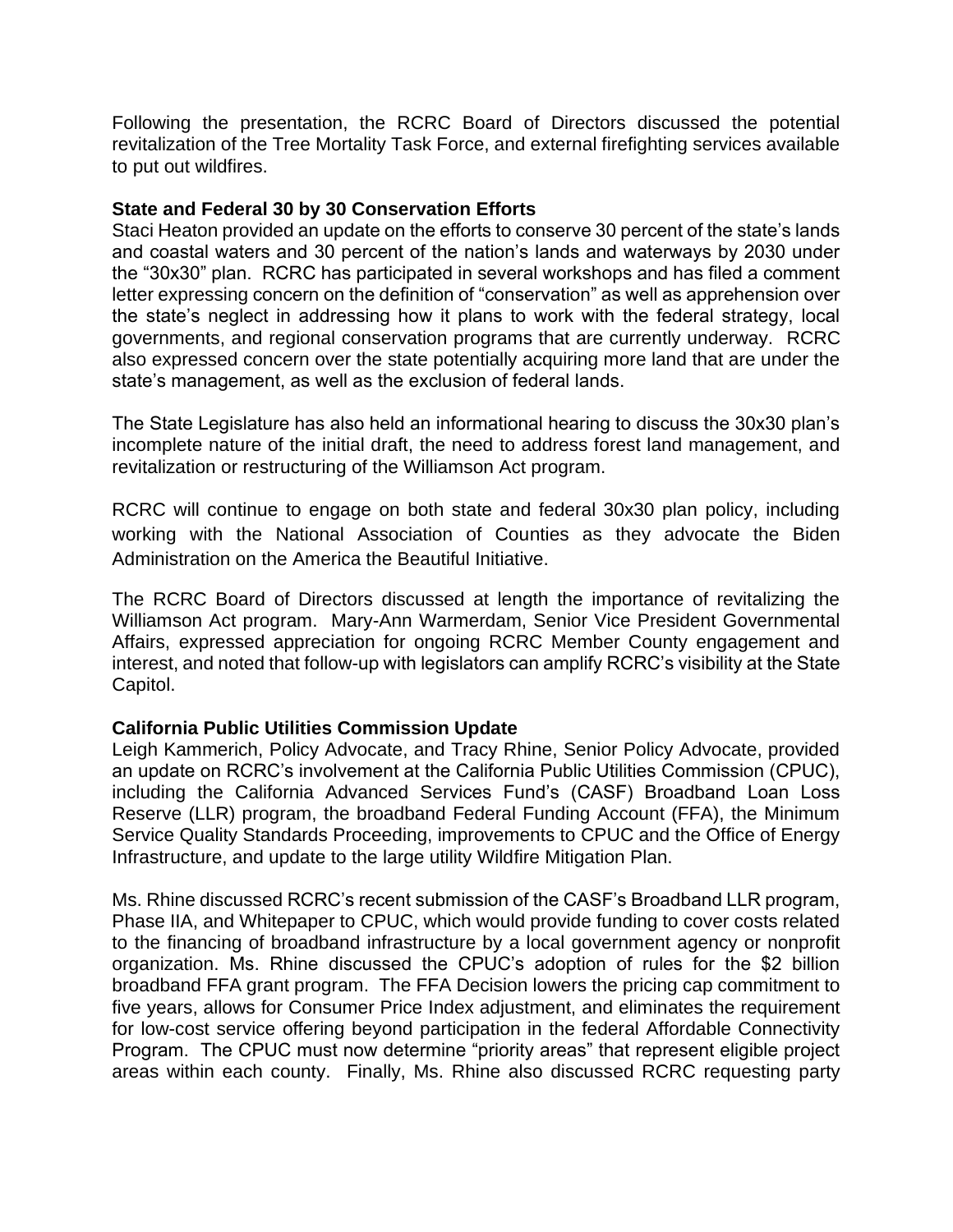Following the presentation, the RCRC Board of Directors discussed the potential revitalization of the Tree Mortality Task Force, and external firefighting services available to put out wildfires.

### **State and Federal 30 by 30 Conservation Efforts**

Staci Heaton provided an update on the efforts to conserve 30 percent of the state's lands and coastal waters and 30 percent of the nation's lands and waterways by 2030 under the "30x30" plan. RCRC has participated in several workshops and has filed a comment letter expressing concern on the definition of "conservation" as well as apprehension over the state's neglect in addressing how it plans to work with the federal strategy, local governments, and regional conservation programs that are currently underway. RCRC also expressed concern over the state potentially acquiring more land that are under the state's management, as well as the exclusion of federal lands.

The State Legislature has also held an informational hearing to discuss the 30x30 plan's incomplete nature of the initial draft, the need to address forest land management, and revitalization or restructuring of the Williamson Act program.

RCRC will continue to engage on both state and federal 30x30 plan policy, including working with the National Association of Counties as they advocate the Biden Administration on the America the Beautiful Initiative.

The RCRC Board of Directors discussed at length the importance of revitalizing the Williamson Act program. Mary-Ann Warmerdam, Senior Vice President Governmental Affairs, expressed appreciation for ongoing RCRC Member County engagement and interest, and noted that follow-up with legislators can amplify RCRC's visibility at the State Capitol.

# **California Public Utilities Commission Update**

Leigh Kammerich, Policy Advocate, and Tracy Rhine, Senior Policy Advocate, provided an update on RCRC's involvement at the California Public Utilities Commission (CPUC), including the California Advanced Services Fund's (CASF) Broadband Loan Loss Reserve (LLR) program, the broadband Federal Funding Account (FFA), the Minimum Service Quality Standards Proceeding, improvements to CPUC and the Office of Energy Infrastructure, and update to the large utility Wildfire Mitigation Plan.

Ms. Rhine discussed RCRC's recent submission of the CASF's Broadband LLR program, Phase IIA, and Whitepaper to CPUC, which would provide funding to cover costs related to the financing of broadband infrastructure by a local government agency or nonprofit organization. Ms. Rhine discussed the CPUC's adoption of rules for the \$2 billion broadband FFA grant program. The FFA Decision lowers the pricing cap commitment to five years, allows for Consumer Price Index adjustment, and eliminates the requirement for low-cost service offering beyond participation in the federal Affordable Connectivity Program. The CPUC must now determine "priority areas" that represent eligible project areas within each county. Finally, Ms. Rhine also discussed RCRC requesting party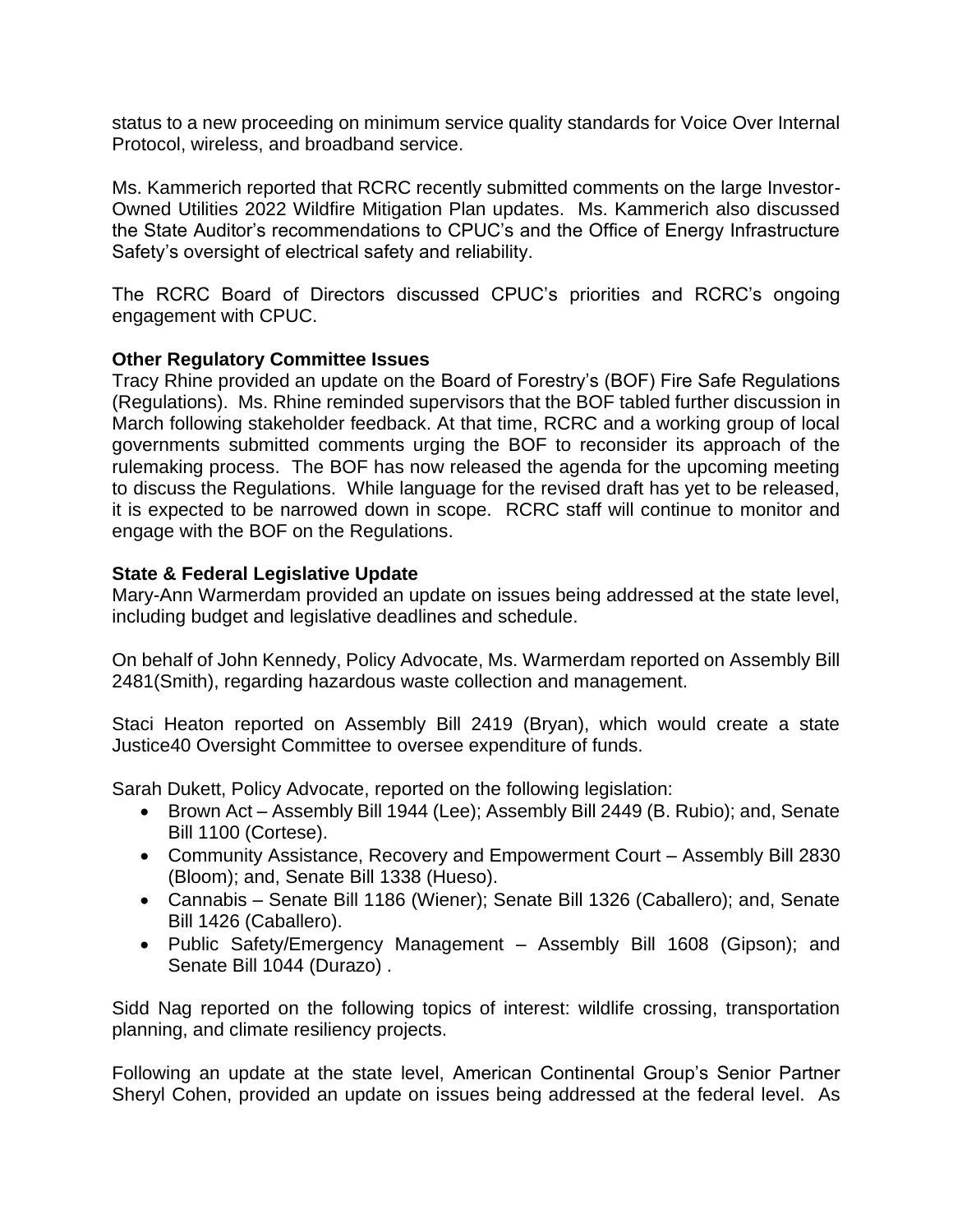status to a new proceeding on minimum service quality standards for Voice Over Internal Protocol, wireless, and broadband service.

Ms. Kammerich reported that RCRC recently submitted comments on the large Investor-Owned Utilities 2022 Wildfire Mitigation Plan updates. Ms. Kammerich also discussed the State Auditor's recommendations to CPUC's and the Office of Energy Infrastructure Safety's oversight of electrical safety and reliability.

The RCRC Board of Directors discussed CPUC's priorities and RCRC's ongoing engagement with CPUC.

# **Other Regulatory Committee Issues**

Tracy Rhine provided an update on the Board of Forestry's (BOF) Fire Safe Regulations (Regulations). Ms. Rhine reminded supervisors that the BOF tabled further discussion in March following stakeholder feedback. At that time, RCRC and a working group of local governments submitted comments urging the BOF to reconsider its approach of the rulemaking process. The BOF has now released the agenda for the upcoming meeting to discuss the Regulations. While language for the revised draft has yet to be released, it is expected to be narrowed down in scope. RCRC staff will continue to monitor and engage with the BOF on the Regulations.

### **State & Federal Legislative Update**

Mary-Ann Warmerdam provided an update on issues being addressed at the state level, including budget and legislative deadlines and schedule.

On behalf of John Kennedy, Policy Advocate, Ms. Warmerdam reported on Assembly Bill 2481(Smith), regarding hazardous waste collection and management.

Staci Heaton reported on Assembly Bill 2419 (Bryan), which would create a state Justice40 Oversight Committee to oversee expenditure of funds.

Sarah Dukett, Policy Advocate, reported on the following legislation:

- Brown Act Assembly Bill 1944 (Lee); Assembly Bill 2449 (B. Rubio); and, Senate Bill 1100 (Cortese).
- Community Assistance, Recovery and Empowerment Court Assembly Bill 2830 (Bloom); and, Senate Bill 1338 (Hueso).
- Cannabis Senate Bill 1186 (Wiener); Senate Bill 1326 (Caballero); and, Senate Bill 1426 (Caballero).
- Public Safety/Emergency Management Assembly Bill 1608 (Gipson); and Senate Bill 1044 (Durazo) .

Sidd Nag reported on the following topics of interest: wildlife crossing, transportation planning, and climate resiliency projects.

Following an update at the state level, American Continental Group's Senior Partner Sheryl Cohen, provided an update on issues being addressed at the federal level. As